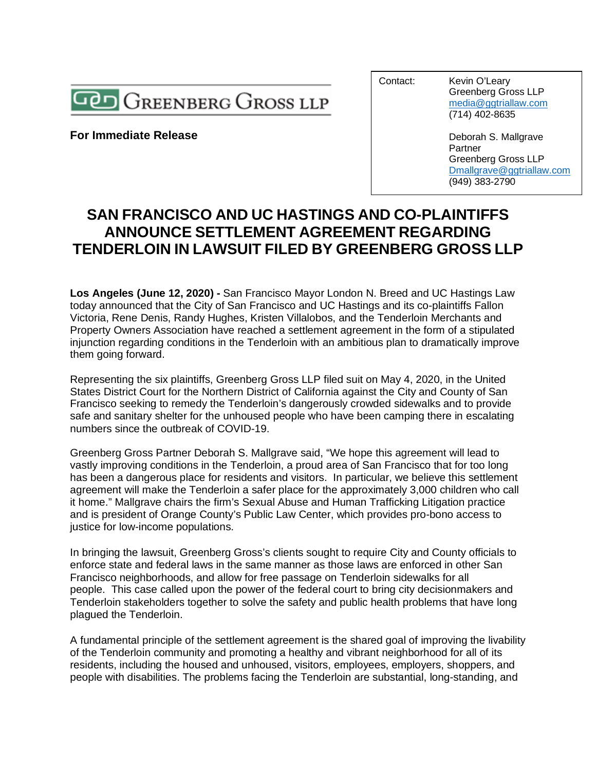

**For Immediate Release** 

Contact: Kevin O'Leary

Greenberg Gross LLP [media@ggtriallaw.com](mailto:media@ggtriallaw.com) (714) 402-8635

Deborah S. Mallgrave Partner Greenberg Gross LLP [Dmallgrave@ggtriallaw.com](mailto:Dmallgrave@ggtriallaw.com) (949) 383-2790

## **SAN FRANCISCO AND UC HASTINGS AND CO-PLAINTIFFS ANNOUNCE SETTLEMENT AGREEMENT REGARDING TENDERLOIN IN LAWSUIT FILED BY GREENBERG GROSS LLP**

**Los Angeles (June 12, 2020) -** San Francisco Mayor London N. Breed and UC Hastings Law today announced that the City of San Francisco and UC Hastings and its co-plaintiffs Fallon Victoria, Rene Denis, Randy Hughes, Kristen Villalobos, and the Tenderloin Merchants and Property Owners Association have reached a settlement agreement in the form of a stipulated injunction regarding conditions in the Tenderloin with an ambitious plan to dramatically improve them going forward.

Representing the six plaintiffs, Greenberg Gross LLP filed suit on May 4, 2020, in the United States District Court for the Northern District of California against the City and County of San Francisco seeking to remedy the Tenderloin's dangerously crowded sidewalks and to provide safe and sanitary shelter for the unhoused people who have been camping there in escalating numbers since the outbreak of COVID-19.

Greenberg Gross Partner Deborah S. Mallgrave said, "We hope this agreement will lead to vastly improving conditions in the Tenderloin, a proud area of San Francisco that for too long has been a dangerous place for residents and visitors. In particular, we believe this settlement agreement will make the Tenderloin a safer place for the approximately 3,000 children who call it home." Mallgrave chairs the firm's Sexual Abuse and Human Trafficking Litigation practice and is president of Orange County's Public Law Center, which provides pro-bono access to justice for low-income populations.

In bringing the lawsuit, Greenberg Gross's clients sought to require City and County officials to enforce state and federal laws in the same manner as those laws are enforced in other San Francisco neighborhoods, and allow for free passage on Tenderloin sidewalks for all people. This case called upon the power of the federal court to bring city decisionmakers and Tenderloin stakeholders together to solve the safety and public health problems that have long plagued the Tenderloin.

A fundamental principle of the settlement agreement is the shared goal of improving the livability of the Tenderloin community and promoting a healthy and vibrant neighborhood for all of its residents, including the housed and unhoused, visitors, employees, employers, shoppers, and people with disabilities. The problems facing the Tenderloin are substantial, long-standing, and